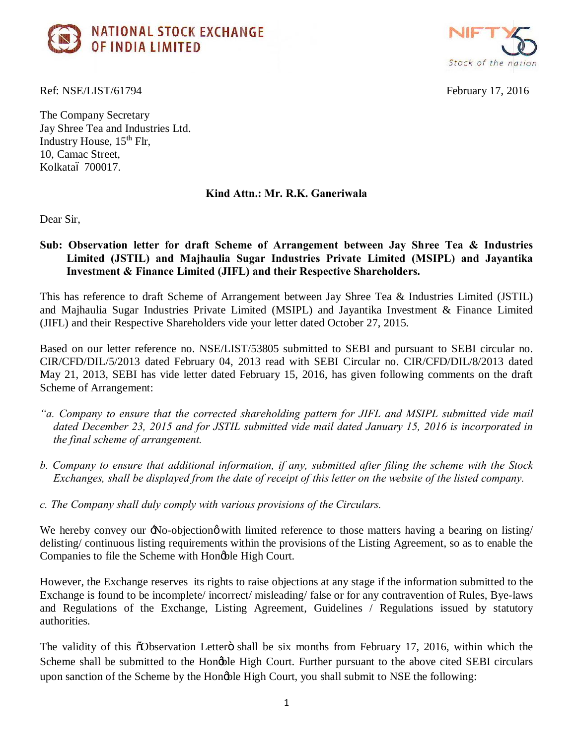



Ref: NSE/LIST/61794 February 17, 2016

The Company Secretary Jay Shree Tea and Industries Ltd. Industry House,  $15<sup>th</sup>$  Flr, 10, Camac Street, Kolkataó 700017.

## **Kind Attn.: Mr. R.K. Ganeriwala**

Dear Sir,

**Sub: Observation letter for draft Scheme of Arrangement between Jay Shree Tea & Industries Limited (JSTIL) and Majhaulia Sugar Industries Private Limited (MSIPL) and Jayantika Investment & Finance Limited (JIFL) and their Respective Shareholders.**

This has reference to draft Scheme of Arrangement between Jay Shree Tea & Industries Limited (JSTIL) and Majhaulia Sugar Industries Private Limited (MSIPL) and Jayantika Investment & Finance Limited (JIFL) and their Respective Shareholders vide your letter dated October 27, 2015.

Based on our letter reference no. NSE/LIST/53805 submitted to SEBI and pursuant to SEBI circular no. CIR/CFD/DIL/5/2013 dated February 04, 2013 read with SEBI Circular no. CIR/CFD/DIL/8/2013 dated May 21, 2013, SEBI has vide letter dated February 15, 2016, has given following comments on the draft Scheme of Arrangement:

- *"a. Company to ensure that the corrected shareholding pattern for JIFL and MSIPL submitted vide mail dated December 23, 2015 and for JSTIL submitted vide mail dated January 15, 2016 is incorporated in the final scheme of arrangement.*
- *b. Company to ensure that additional information, if any, submitted after filing the scheme with the Stock Exchanges, shall be displayed from the date of receipt of this letter on the website of the listed company.*
- *c. The Company shall duly comply with various provisions of the Circulars.*

We hereby convey our  $\exists$ No-objectiong with limited reference to those matters having a bearing on listing/ delisting/ continuous listing requirements within the provisions of the Listing Agreement, so as to enable the Companies to file the Scheme with Hongble High Court.

However, the Exchange reserves its rights to raise objections at any stage if the information submitted to the Exchange is found to be incomplete/ incorrect/ misleading/ false or for any contravention of Rules, Bye-laws and Regulations of the Exchange, Listing Agreement, Guidelines / Regulations issued by statutory authorities.

The validity of this  $\tilde{\text{O}}$  Observation Letter $\ddot{\text{o}}$  shall be six months from February 17, 2016, within which the Scheme shall be submitted to the Hongble High Court. Further pursuant to the above cited SEBI circulars upon sanction of the Scheme by the Hongble High Court, you shall submit to NSE the following: